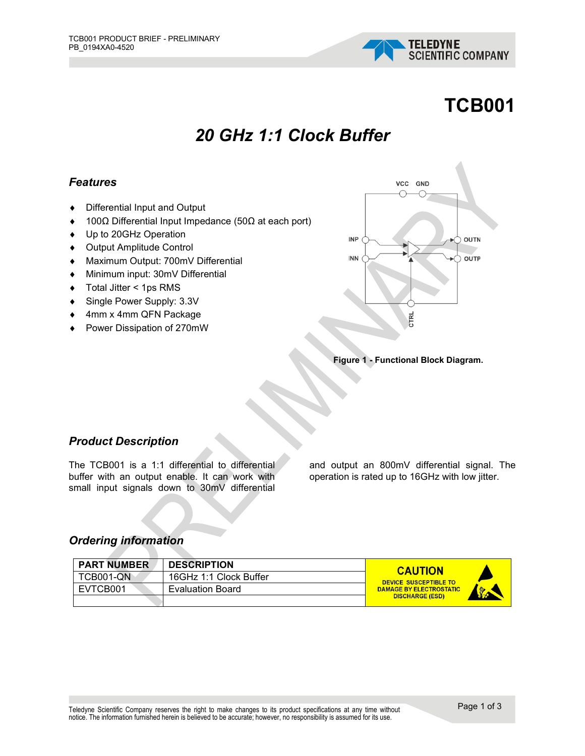

# **TCB001**

# *20 GHz 1:1 Clock Buffer*

#### *Features*

- ♦ Differential Input and Output
- ♦ 100Ω Differential Input Impedance (50Ω at each port)
- ♦ Up to 20GHz Operation
- ♦ Output Amplitude Control
- ♦ Maximum Output: 700mV Differential
- ♦ Minimum input: 30mV Differential
- ♦ Total Jitter < 1ps RMS
- ♦ Single Power Supply: 3.3V
- ♦ 4mm x 4mm QFN Package
- ♦ Power Dissipation of 270mW



#### **Figure 1 - Functional Block Diagram.**

#### *Product Description*

The TCB001 is a 1:1 differential to differential buffer with an output enable. It can work with small input signals down to 30mV differential

and output an 800mV differential signal. The operation is rated up to 16GHz with low jitter.

#### *Ordering information*

| <b>PART NUMBER</b> | <b>DESCRIPTION</b>      | <b>CAUTION</b>                                 |
|--------------------|-------------------------|------------------------------------------------|
| <b>TCB001-ON</b>   | 16GHz 1:1 Clock Buffer  | DEVICE SUSCEPTIBLE TO                          |
| EVTCB001           | <b>Evaluation Board</b> | <b>DAMAGE BY ELECTROSTATIC</b><br><b>Scott</b> |
|                    |                         | <b>DISCHARGE (ESD)</b>                         |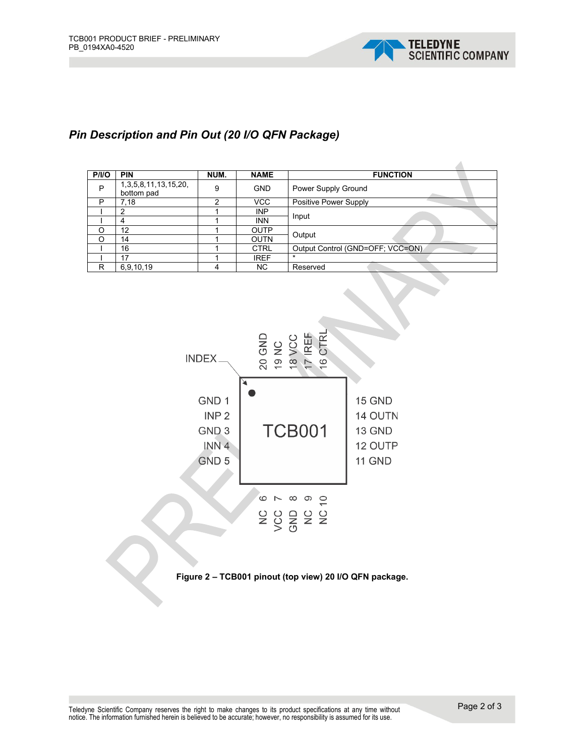

## *Pin Description and Pin Out (20 I/O QFN Package)*

| P/1/O | <b>PIN</b>                                | NUM. | <b>NAME</b> | <b>FUNCTION</b>                  |  |
|-------|-------------------------------------------|------|-------------|----------------------------------|--|
| P     | 1, 3, 5, 8, 11, 13, 15, 20,<br>bottom pad | 9    | <b>GND</b>  | Power Supply Ground              |  |
| P     | 7,18                                      | ⌒    | <b>VCC</b>  | Positive Power Supply            |  |
|       | $\mathcal{P}$                             |      | <b>INP</b>  |                                  |  |
|       | 4                                         |      | <b>INN</b>  | Input                            |  |
| O     | 12                                        |      | OUTP        |                                  |  |
| O     | 14                                        |      | <b>OUTN</b> | Output                           |  |
|       | 16                                        |      | <b>CTRL</b> | Output Control (GND=OFF; VCC=ON) |  |
|       | 17                                        |      | <b>IREF</b> | $\star$                          |  |
| R     | 6,9,10,19                                 | 4    | ΝC          | Reserved                         |  |